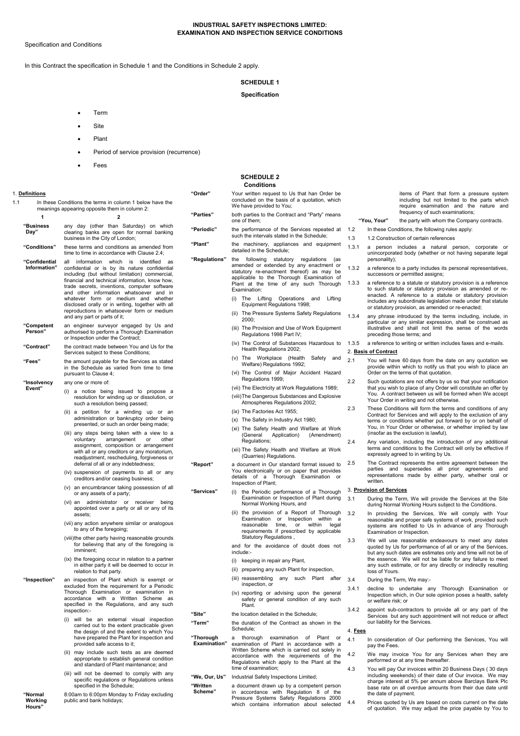# INDUSTRIAL SAFETY INSPECTIONS LIMITED: EXAMINATION AND INSPECTION SERVICE CONDITIONS

Specification and Conditions

In this Contract the specification in Schedule 1 and the Conditions in Schedule 2 apply.

# SCHEDULE 1

# Specification

- Term
- Site
- Plant
- Period of service provision (recurrence)
- **Fees**

# SCHEDULE 2

|                                                                                                                                    |                                                                                                                                                                                                                                                                                                                               |                                  | Conditions                                                                                                                                                                                                                                                                       |              |                                                                                                                                                                                                                                                                                                              |                                                                                                                                                                                                                   |  |
|------------------------------------------------------------------------------------------------------------------------------------|-------------------------------------------------------------------------------------------------------------------------------------------------------------------------------------------------------------------------------------------------------------------------------------------------------------------------------|----------------------------------|----------------------------------------------------------------------------------------------------------------------------------------------------------------------------------------------------------------------------------------------------------------------------------|--------------|--------------------------------------------------------------------------------------------------------------------------------------------------------------------------------------------------------------------------------------------------------------------------------------------------------------|-------------------------------------------------------------------------------------------------------------------------------------------------------------------------------------------------------------------|--|
| 1. Definitions<br>1.1<br>In these Conditions the terms in column 1 below have the<br>meanings appearing opposite them in column 2: |                                                                                                                                                                                                                                                                                                                               | "Order"                          | Your written request to Us that han Order be<br>concluded on the basis of a quotation, which<br>We have provided to You;                                                                                                                                                         |              | items of Plant that form a pressure system<br>including but not limited to the parts which<br>require examination and the nature and                                                                                                                                                                         |                                                                                                                                                                                                                   |  |
| 1                                                                                                                                  | $\overline{2}$                                                                                                                                                                                                                                                                                                                | "Parties"                        | both parties to the Contract and "Party" means<br>one of them;                                                                                                                                                                                                                   |              | "You, Your"                                                                                                                                                                                                                                                                                                  | frequency of such examinations;<br>the party with whom the Company contracts.                                                                                                                                     |  |
| "Business<br>Day"                                                                                                                  | any day (other than Saturday) on which<br>clearing banks are open for normal banking                                                                                                                                                                                                                                          | "Periodic"                       | the performance of the Services repeated at 1.2                                                                                                                                                                                                                                  |              |                                                                                                                                                                                                                                                                                                              | In these Conditions, the following rules apply:                                                                                                                                                                   |  |
|                                                                                                                                    | business in the City of London;                                                                                                                                                                                                                                                                                               |                                  | such the intervals stated in the Schedule;                                                                                                                                                                                                                                       | 1.3          |                                                                                                                                                                                                                                                                                                              | 1.2 Construction of certain references                                                                                                                                                                            |  |
| "Conditions"                                                                                                                       | these terms and conditions as amended from<br>time to time in accordance with Clause 2.4;                                                                                                                                                                                                                                     | "Plant"                          | the machinery, appliances and equipment<br>detailed in the Schedule;                                                                                                                                                                                                             | 1.3.1        | a person includes a natural person, corporate or<br>unincorporated body (whether or not having separate legal                                                                                                                                                                                                |                                                                                                                                                                                                                   |  |
| "Confidential<br>Information"                                                                                                      | all information which is identified as<br>confidential or is by its nature confidential<br>including (but without limitation) commercial,<br>financial and technical information, know how,<br>trade secrets, inventions, computer software<br>and other information whatsoever and in<br>whatever form or medium and whether | "Regulations"                    | the following statutory regulations (as<br>amended or extended by any enactment or<br>statutory re-enactment thereof) as may be<br>applicable to the Thorough Examination of<br>Plant at the time of any such Thorough<br>Examination:<br>(i) The Lifting Operations and Lifting | 1.3.2        | personality);<br>a reference to a party includes its personal representatives,<br>successors or permitted assigns;<br>a reference to a statute or statutory provision is a reference<br>to such statute or statutory provision as amended or re-<br>enacted. A reference to a statute or statutory provision |                                                                                                                                                                                                                   |  |
|                                                                                                                                    |                                                                                                                                                                                                                                                                                                                               |                                  |                                                                                                                                                                                                                                                                                  | 1.3.3        |                                                                                                                                                                                                                                                                                                              |                                                                                                                                                                                                                   |  |
|                                                                                                                                    | disclosed orally or in writing, together with all<br>reproductions in whatsoever form or medium                                                                                                                                                                                                                               |                                  | Equipment Regulations 1998;<br>(ii) The Pressure Systems Safety Regulations                                                                                                                                                                                                      | 1.3.4        |                                                                                                                                                                                                                                                                                                              | includes any subordinate legislation made under that statute<br>or statutory provision, as amended or re-enacted;                                                                                                 |  |
| "Competent<br>Person"                                                                                                              | and any part or parts of it;<br>an engineer surveyor engaged by Us and<br>authorised to perform a Thorough Examination                                                                                                                                                                                                        |                                  | 2000;<br>(iii) The Provision and Use of Work Equipment<br>Regulations 1998 Part IV;                                                                                                                                                                                              |              |                                                                                                                                                                                                                                                                                                              | any phrase introduced by the terms including, include, in<br>particular or any similar expression, shall be construed as<br>illustrative and shall not limit the sense of the words<br>preceding those terms; and |  |
| "Contract"                                                                                                                         | or Inspection under the Contract;<br>the contract made between You and Us for the                                                                                                                                                                                                                                             |                                  | (iv) The Control of Substances Hazardous to<br>Health Regulations 2002;                                                                                                                                                                                                          | 1.3.5        | a reference to writing or written includes faxes and e-mails.                                                                                                                                                                                                                                                |                                                                                                                                                                                                                   |  |
|                                                                                                                                    | Services subject to these Conditions;                                                                                                                                                                                                                                                                                         |                                  | (v) The Workplace (Health Safety and                                                                                                                                                                                                                                             |              | 2. Basis of Contract                                                                                                                                                                                                                                                                                         |                                                                                                                                                                                                                   |  |
| "Fees"                                                                                                                             | the amount payable for the Services as stated<br>in the Schedule as varied from time to time<br>pursuant to Clause 4;                                                                                                                                                                                                         |                                  | Welfare) Regulations 1992;<br>(vi) The Control of Major Accident Hazard                                                                                                                                                                                                          | 2.1          |                                                                                                                                                                                                                                                                                                              | You will have 60 days from the date on any quotation we<br>provide within which to notify us that you wish to place an<br>Order on the terms of that quotation.                                                   |  |
| "Insolvency<br>Event"                                                                                                              | any one or more of:                                                                                                                                                                                                                                                                                                           |                                  | Regulations 1999;<br>(vii) The Electricity at Work Regulations 1989;                                                                                                                                                                                                             | 2.2          | Such quotations are not offers by us so that your notification<br>that you wish to place of any Order will constitute an offer by                                                                                                                                                                            |                                                                                                                                                                                                                   |  |
|                                                                                                                                    | (i) a notice being issued to propose a<br>resolution for winding up or dissolution, or<br>such a resolution being passed;                                                                                                                                                                                                     |                                  | (viii) The Dangerous Substances and Explosive<br>Atmospheres Regulations 2002;                                                                                                                                                                                                   |              |                                                                                                                                                                                                                                                                                                              | You. A contract between us will be formed when We accept<br>Your Order in writing and not otherwise.                                                                                                              |  |
|                                                                                                                                    | (ii) a petition for a winding up or an                                                                                                                                                                                                                                                                                        |                                  | (ix) The Factories Act 1955;                                                                                                                                                                                                                                                     | 2.3          |                                                                                                                                                                                                                                                                                                              | These Conditions will form the terms and conditions of any                                                                                                                                                        |  |
|                                                                                                                                    | administration or bankruptcy order being<br>presented, or such an order being made;                                                                                                                                                                                                                                           |                                  | (x) The Safety in Industry Act 1980;<br>(xi) The Safety Health and Welfare at Work                                                                                                                                                                                               |              |                                                                                                                                                                                                                                                                                                              | Contract for Services and will apply to the exclusion of any<br>terms or conditions whether put forward by or on behalf of<br>You, in Your Order or otherwise, or whether implied by law                          |  |
|                                                                                                                                    | (iii) any steps being taken with a view to a<br>voluntary arrangement or other<br>assignment, composition or arrangement<br>with all or any creditors or any moratorium,<br>readjustment, rescheduling, forgiveness or                                                                                                        |                                  | (General<br>Application)<br>(Amendment)<br>Regulations;                                                                                                                                                                                                                          | 2.4          | (insofar as the exclusion is lawful).<br>Any variation, including the introduction of any additional                                                                                                                                                                                                         |                                                                                                                                                                                                                   |  |
|                                                                                                                                    |                                                                                                                                                                                                                                                                                                                               |                                  | (xii) The Safety Health and Welfare at Work<br>(Quarries) Regulations.                                                                                                                                                                                                           |              |                                                                                                                                                                                                                                                                                                              | terms and conditions to the Contract will only be effective if<br>expressly agreed to in writing by Us.                                                                                                           |  |
|                                                                                                                                    | deferral of all or any indebtedness;<br>(iv) suspension of payments to all or any                                                                                                                                                                                                                                             | "Report"                         | a document in Our standard format issued to<br>You electronically or on paper that provides                                                                                                                                                                                      | 2.5          |                                                                                                                                                                                                                                                                                                              | The Contract represents the entire agreement between the<br>parties and supersedes all prior agreements and<br>representations made by either party, whether oral or                                              |  |
|                                                                                                                                    | creditors and/or ceasing business;<br>(v) an encumbrancer taking possession of all                                                                                                                                                                                                                                            |                                  | details of a Thorough Examination or<br>Inspection of Plant;                                                                                                                                                                                                                     |              | written.                                                                                                                                                                                                                                                                                                     | 3. Provision of Services                                                                                                                                                                                          |  |
|                                                                                                                                    | or any assets of a party;<br>(vi) an administrator or receiver being                                                                                                                                                                                                                                                          | "Services"                       | (i) the Periodic performance of a Thorough<br>Examination or Inspection of Plant during<br>Normal Working Hours, and<br>(ii) the provision of a Report of Thorough<br>Examination or Inspection within a                                                                         |              |                                                                                                                                                                                                                                                                                                              | During the Term, We will provide the Services at the Site<br>during Normal Working Hours subject to the Conditions.                                                                                               |  |
|                                                                                                                                    | appointed over a party or all or any of its<br>assets:                                                                                                                                                                                                                                                                        |                                  |                                                                                                                                                                                                                                                                                  |              |                                                                                                                                                                                                                                                                                                              | In providing the Services, We will comply with Your<br>reasonable and proper safe systems of work, provided such                                                                                                  |  |
|                                                                                                                                    | (vii) any action anywhere similar or analogous<br>to any of the foregoing;                                                                                                                                                                                                                                                    |                                  | reasonable time, or within legal<br>requirements if prescribed by applicable<br>Statutory Regulations,                                                                                                                                                                           |              | systems are notified to Us in advance of any Thorough<br>Examination or Inspection.                                                                                                                                                                                                                          |                                                                                                                                                                                                                   |  |
|                                                                                                                                    | (viii) the other party having reasonable grounds<br>for believing that any of the foregoing is<br>imminent;                                                                                                                                                                                                                   |                                  | and for the avoidance of doubt does not<br>include:-                                                                                                                                                                                                                             | 3.3          |                                                                                                                                                                                                                                                                                                              | We will use reasonable endeavours to meet any dates<br>quoted by Us for performance of all or any of the Services,<br>but any such dates are estimates only and time will not be of                               |  |
|                                                                                                                                    | (ix) the foregoing occur in relation to a partner<br>in either party it will be deemed to occur in                                                                                                                                                                                                                            |                                  | (i) keeping in repair any Plant,<br>(ii) preparing any such Plant for inspection,                                                                                                                                                                                                |              |                                                                                                                                                                                                                                                                                                              | the essence. We will not be liable for any failure to meet<br>any such estimate, or for any directly or indirectly resulting                                                                                      |  |
|                                                                                                                                    | relation to that party.                                                                                                                                                                                                                                                                                                       |                                  | (iii) reassembling any such Plant after                                                                                                                                                                                                                                          |              | loss of Yours.                                                                                                                                                                                                                                                                                               |                                                                                                                                                                                                                   |  |
| "Inspection"                                                                                                                       | an inspection of Plant which is exempt or<br>excluded from the requirement for a Periodic<br>Thorough Examination or examination in<br>accordance with a Written Scheme as<br>specified in the Regulations, and any such                                                                                                      |                                  | inspection, or<br>(iv) reporting or advising upon the general                                                                                                                                                                                                                    | 3.4<br>3.4.1 |                                                                                                                                                                                                                                                                                                              | During the Term, We may:-<br>decline to undertake any Thorough Examination or                                                                                                                                     |  |
|                                                                                                                                    |                                                                                                                                                                                                                                                                                                                               |                                  | safety or general condition of any such<br>Plant.                                                                                                                                                                                                                                | 3.4.2        | or welfare risk; or                                                                                                                                                                                                                                                                                          | Inspection which, in Our sole opinion poses a health, safety<br>appoint sub-contractors to provide all or any part of the                                                                                         |  |
|                                                                                                                                    | inspection:-                                                                                                                                                                                                                                                                                                                  | "Site"                           | the location detailed in the Schedule;                                                                                                                                                                                                                                           |              |                                                                                                                                                                                                                                                                                                              | Services but any such appointment will not reduce or affect                                                                                                                                                       |  |
|                                                                                                                                    | (i) will be an external visual inspection<br>carried out to the extent practicable given<br>the design of and the extent to which You<br>have prepared the Plant for inspection and<br>provided safe access to it;                                                                                                            | "Term"                           | the duration of the Contract as shown in the<br>Schedule;<br>4. Fees                                                                                                                                                                                                             |              |                                                                                                                                                                                                                                                                                                              | our liability for the Services.                                                                                                                                                                                   |  |
|                                                                                                                                    |                                                                                                                                                                                                                                                                                                                               | "Thorough<br><b>Examination"</b> | a thorough examination of Plant or<br>examination of Plant in accordance with a                                                                                                                                                                                                  | 4.1          | pay the Fees.                                                                                                                                                                                                                                                                                                | In consideration of Our performing the Services, You will                                                                                                                                                         |  |
|                                                                                                                                    | (ii) may include such tests as are deemed<br>appropriate to establish general condition<br>and standard of Plant maintenance; and                                                                                                                                                                                             |                                  | Written Scheme which is carried out solely in<br>accordance with the requirements of the<br>Regulations which apply to the Plant at the                                                                                                                                          |              |                                                                                                                                                                                                                                                                                                              | We may invoice You for any Services when they are<br>performed or at any time thereafter.                                                                                                                         |  |
|                                                                                                                                    | (iii) will not be deemed to comply with any                                                                                                                                                                                                                                                                                   |                                  | time of examination;                                                                                                                                                                                                                                                             | 4.3          |                                                                                                                                                                                                                                                                                                              | You will pay Our invoices within 20 Business Days (30 days                                                                                                                                                        |  |
|                                                                                                                                    | specific regulations or Regulations unless<br>specified in the Schedule;                                                                                                                                                                                                                                                      | "We, Our, Us"<br>"Written        | Industrial Safety Inspections Limited;<br>a document drawn up by a competent person                                                                                                                                                                                              |              |                                                                                                                                                                                                                                                                                                              | including weekends) of their date of Our invoice. We may<br>charge interest at 5% per annum above Barclays Bank Plc<br>base rate on all overdue amounts from their due date until                                 |  |
| "Normal<br>Working<br>$H_{\text{OII}}$                                                                                             | 8:00am to 6:00pm Monday to Friday excluding<br>public and bank holidays;                                                                                                                                                                                                                                                      | Scheme"                          | in accordance with Regulation 8 of the<br>Pressure Systems Safety Regulations 2000<br>which contains information about selected                                                                                                                                                  | 4.4          | the date of payment.                                                                                                                                                                                                                                                                                         | Prices quoted by Us are based on costs current on the date                                                                                                                                                        |  |

"Normal Working Hours"

4.4 Prices quoted by Us are based on costs current on the date of quotation. We may adjust the price payable by You to